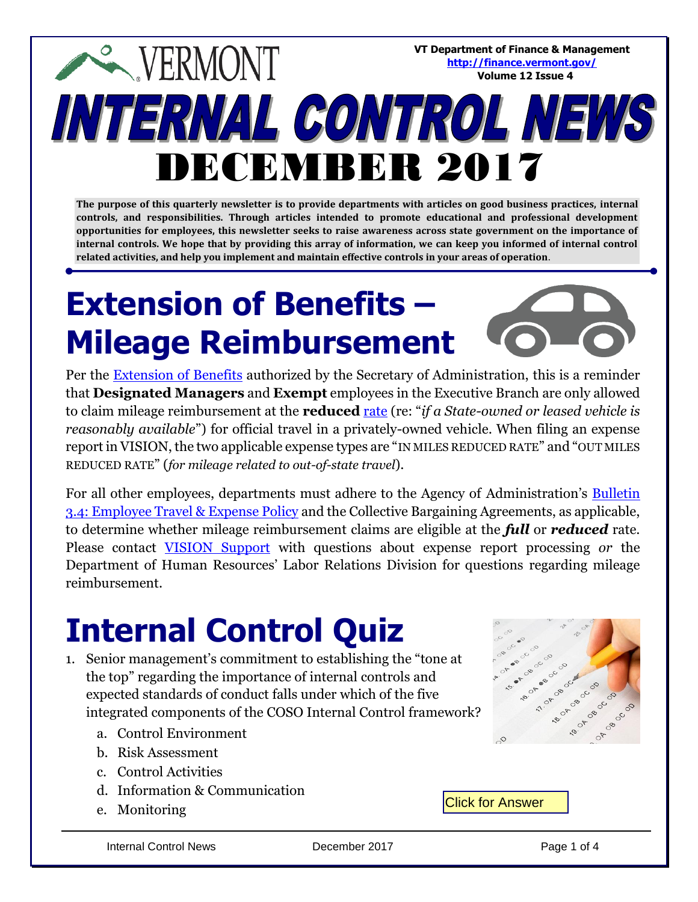**VT Department of Finance & Management <http://finance.vermont.gov/> Volume 12 Issue 4**

# **EXPERMONT** INTERNAL CONTROL NEWS DECEMBER 2017

**The purpose of this quarterly newsletter is to provide departments with articles on good business practices, internal controls, and responsibilities. Through articles intended to promote educational and professional development opportunities for employees, this newsletter seeks to raise awareness across state government on the importance of internal controls. We hope that by providing this array of information, we can keep you informed of internal control related activities, and help you implement and maintain effective controls in your areas of operation**.

# **Extension of Benefits – Mileage Reimbursement**



Per the **Extension of Benefits** authorized by the Secretary of Administration, this is a reminder that **Designated Managers** and **Exempt** employees in the Executive Branch are only allowed to claim mileage reimbursement at the **reduced** [rate](http://humanresources.vermont.gov/compensation/expense-reimbursement) (re: "*if a State-owned or leased vehicle is reasonably available*") for official travel in a privately-owned vehicle. When filing an expense report in VISION, the two applicable expense types are "IN MILES REDUCED RATE" and "OUT MILES REDUCED RATE" (*for mileage related to out-of-state travel*).

For all other employees, departments must adhere to the Agency of Administration's **Bulletin** [3.4: Employee Travel & Expense Policy](http://aoa.vermont.gov/bulletins) and the Collective Bargaining Agreements, as applicable, to determine whether mileage reimbursement claims are eligible at the *full* or *reduced* rate. Please contact [VISION Support](mailto:VISION.FinHelpdesk@vermont.gov) with questions about expense report processing *or* the Department of Human Resources' Labor Relations Division for questions regarding mileage reimbursement.

### **Internal Control Quiz**

- 1. Senior management's commitment to establishing the "tone at the top" regarding the importance of internal controls and expected standards of conduct falls under which of the five integrated components of the COSO Internal Control framework?
	- a. Control Environment
	- b. Risk Assessment
	- c. Control Activities
	- d. Information & Communication
	- e. Monitoring

 $\sim$ 

Click for Answer

Internal Control News **December 2017** Page 1 of 4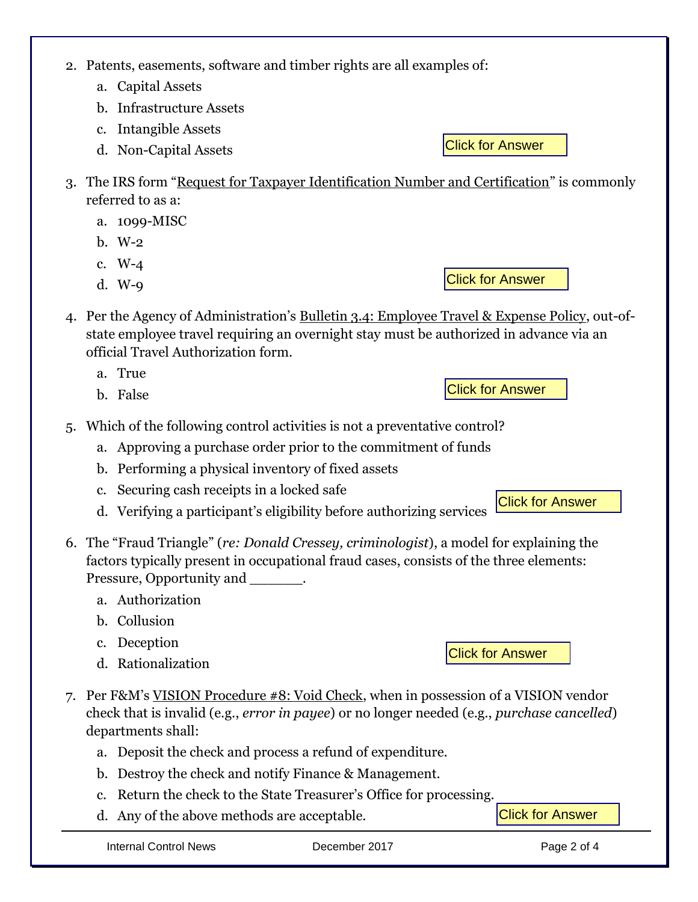2. Patents, easements, software and timber rights are all examples of:

- a. Capital Assets
- b. Infrastructure Assets
- c. Intangible Assets
- d. Non-Capital Assets
- 3. The IRS form "Request for Taxpayer Identification Number and Certification" is commonly referred to as a:
	- a. 1099-MISC
	- b. W-2
	- c. W-4
	- d. W-9
- 4. Per the Agency of Administration's Bulletin 3.4: Employee Travel & Expense Policy, out-ofstate employee travel requiring an overnight stay must be authorized in advance via an official Travel Authorization form.
	- a. True
	- b. False
- 5. Which of the following control activities is not a preventative control?
	- a. Approving a purchase order prior to the commitment of funds
	- b. Performing a physical inventory of fixed assets
	- c. Securing cash receipts in a locked safe
	- d. Verifying a participant's eligibility before authorizing services
- 6. The "Fraud Triangle" (*re: Donald Cressey, criminologist*), a model for explaining the factors typically present in occupational fraud cases, consists of the three elements: Pressure, Opportunity and \_\_\_\_\_\_\_.
	- a. Authorization
	- b. Collusion
	- c. Deception
	- d. Rationalization
- Click for Answer
- 7. Per F&M's VISION Procedure #8: Void Check, when in possession of a VISION vendor check that is invalid (e.g., *error in payee*) or no longer needed (e.g., *purchase cancelled*) departments shall:
	- a. Deposit the check and process a refund of expenditure.
	- b. Destroy the check and notify Finance & Management.
	- c. Return the check to the State Treasurer's Office for processing.
	- d. Any of the above methods are acceptable.

Click for Answer

Click for Answer

Click for Answer

Click for Answer

Click for Answer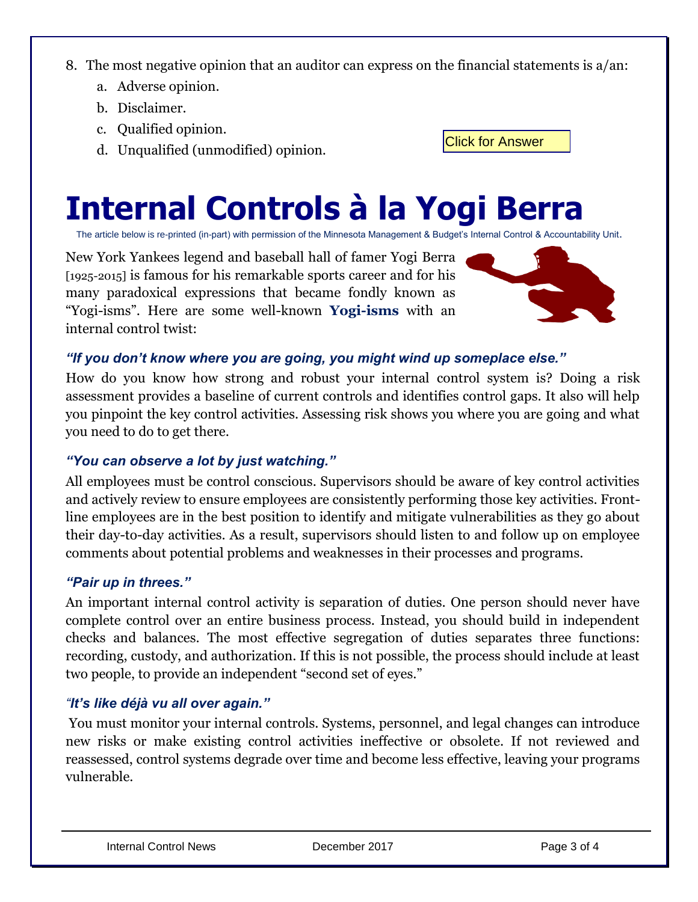8. The most negative opinion that an auditor can express on the financial statements is a/an:

- a. Adverse opinion.
- b. Disclaimer.
- c. Qualified opinion.
- d. Unqualified (unmodified) opinion.

## **Internal Controls à la Yogi Berra**

The article below is re-printed (in-part) with permission of the Minnesota Management & Budget's Internal Control & Accountability Unit.

New York Yankees legend and baseball hall of famer Yogi Berra [1925-2015] is famous for his remarkable sports career and for his many paradoxical expressions that became fondly known as "Yogi-isms". Here are some well-known **Yogi-isms** with an internal control twist:



Click for Answer

#### *"If you don't know where you are going, you might wind up someplace else."*

How do you know how strong and robust your internal control system is? Doing a risk assessment provides a baseline of current controls and identifies control gaps. It also will help you pinpoint the key control activities. Assessing risk shows you where you are going and what you need to do to get there.

#### *"You can observe a lot by just watching."*

All employees must be control conscious. Supervisors should be aware of key control activities and actively review to ensure employees are consistently performing those key activities. Frontline employees are in the best position to identify and mitigate vulnerabilities as they go about their day-to-day activities. As a result, supervisors should listen to and follow up on employee comments about potential problems and weaknesses in their processes and programs.

#### *"Pair up in threes."*

An important internal control activity is separation of duties. One person should never have complete control over an entire business process. Instead, you should build in independent checks and balances. The most effective segregation of duties separates three functions: recording, custody, and authorization. If this is not possible, the process should include at least two people, to provide an independent "second set of eyes."

#### *"It's like déjà vu all over again."*

You must monitor your internal controls. Systems, personnel, and legal changes can introduce new risks or make existing control activities ineffective or obsolete. If not reviewed and reassessed, control systems degrade over time and become less effective, leaving your programs vulnerable.